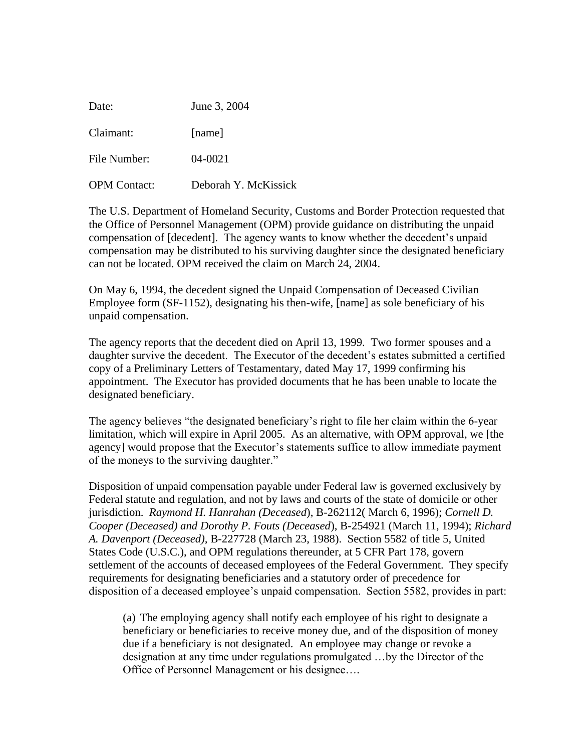| Date:               | June 3, 2004         |
|---------------------|----------------------|
| Claimant:           | [name]               |
| File Number:        | $04 - 0021$          |
| <b>OPM</b> Contact: | Deborah Y. McKissick |

The U.S. Department of Homeland Security, Customs and Border Protection requested that the Office of Personnel Management (OPM) provide guidance on distributing the unpaid compensation of [decedent]. The agency wants to know whether the decedent's unpaid compensation may be distributed to his surviving daughter since the designated beneficiary can not be located. OPM received the claim on March 24, 2004.

On May 6, 1994, the decedent signed the Unpaid Compensation of Deceased Civilian Employee form (SF-1152), designating his then-wife, [name] as sole beneficiary of his unpaid compensation.

The agency reports that the decedent died on April 13, 1999. Two former spouses and a daughter survive the decedent. The Executor of the decedent's estates submitted a certified copy of a Preliminary Letters of Testamentary, dated May 17, 1999 confirming his appointment. The Executor has provided documents that he has been unable to locate the designated beneficiary.

The agency believes "the designated beneficiary's right to file her claim within the 6-year limitation, which will expire in April 2005. As an alternative, with OPM approval, we [the agency] would propose that the Executor's statements suffice to allow immediate payment of the moneys to the surviving daughter."

Disposition of unpaid compensation payable under Federal law is governed exclusively by Federal statute and regulation, and not by laws and courts of the state of domicile or other jurisdiction. *Raymond H. Hanrahan (Deceased*), B-262112( March 6, 1996); *Cornell D. Cooper (Deceased) and Dorothy P. Fouts (Deceased*), B-254921 (March 11, 1994); *Richard A. Davenport (Deceased),* B-227728 (March 23, 1988). Section 5582 of title 5, United States Code (U.S.C.), and OPM regulations thereunder, at 5 CFR Part 178, govern settlement of the accounts of deceased employees of the Federal Government. They specify requirements for designating beneficiaries and a statutory order of precedence for disposition of a deceased employee's unpaid compensation. Section 5582, provides in part:

(a) The employing agency shall notify each employee of his right to designate a beneficiary or beneficiaries to receive money due, and of the disposition of money due if a beneficiary is not designated. An employee may change or revoke a designation at any time under regulations promulgated …by the Director of the Office of Personnel Management or his designee….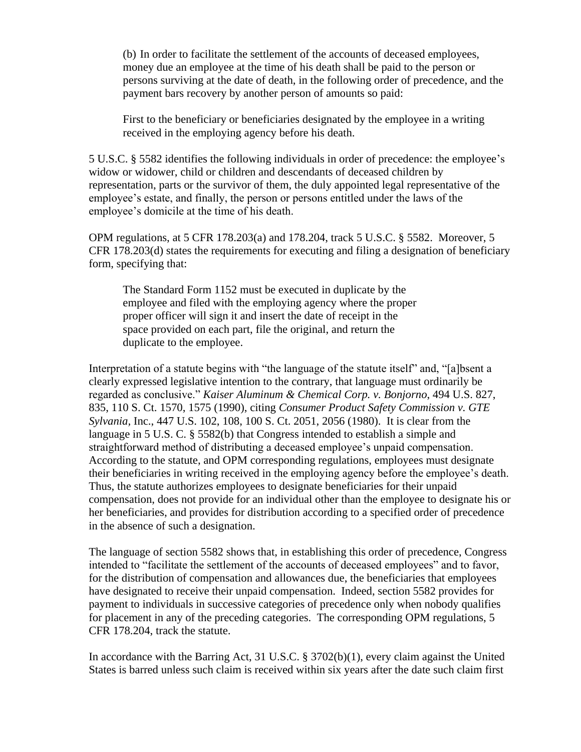(b) In order to facilitate the settlement of the accounts of deceased employees, money due an employee at the time of his death shall be paid to the person or persons surviving at the date of death, in the following order of precedence, and the payment bars recovery by another person of amounts so paid:

First to the beneficiary or beneficiaries designated by the employee in a writing received in the employing agency before his death.

5 U.S.C. § 5582 identifies the following individuals in order of precedence: the employee's widow or widower, child or children and descendants of deceased children by representation, parts or the survivor of them, the duly appointed legal representative of the employee's estate, and finally, the person or persons entitled under the laws of the employee's domicile at the time of his death.

OPM regulations, at 5 CFR 178.203(a) and 178.204, track 5 U.S.C. § 5582. Moreover, 5 CFR 178.203(d) states the requirements for executing and filing a designation of beneficiary form, specifying that:

 The Standard Form 1152 must be executed in duplicate by the employee and filed with the employing agency where the proper proper officer will sign it and insert the date of receipt in the space provided on each part, file the original, and return the duplicate to the employee.

Interpretation of a statute begins with "the language of the statute itself" and, "[a]bsent a clearly expressed legislative intention to the contrary, that language must ordinarily be regarded as conclusive." *Kaiser Aluminum & Chemical Corp. v. Bonjorno*, 494 U.S. 827, 835, 110 S. Ct. 1570, 1575 (1990), citing *Consumer Product Safety Commission v. GTE Sylvania,* Inc., 447 U.S. 102, 108, 100 S. Ct. 2051, 2056 (1980). It is clear from the language in 5 U.S. C. § 5582(b) that Congress intended to establish a simple and straightforward method of distributing a deceased employee's unpaid compensation. According to the statute, and OPM corresponding regulations, employees must designate their beneficiaries in writing received in the employing agency before the employee's death. Thus, the statute authorizes employees to designate beneficiaries for their unpaid compensation, does not provide for an individual other than the employee to designate his or her beneficiaries, and provides for distribution according to a specified order of precedence in the absence of such a designation.

The language of section 5582 shows that, in establishing this order of precedence, Congress intended to "facilitate the settlement of the accounts of deceased employees" and to favor, for the distribution of compensation and allowances due, the beneficiaries that employees have designated to receive their unpaid compensation. Indeed, section 5582 provides for payment to individuals in successive categories of precedence only when nobody qualifies for placement in any of the preceding categories. The corresponding OPM regulations, 5 CFR 178.204, track the statute.

In accordance with the Barring Act, 31 U.S.C. § 3702(b)(1), every claim against the United States is barred unless such claim is received within six years after the date such claim first